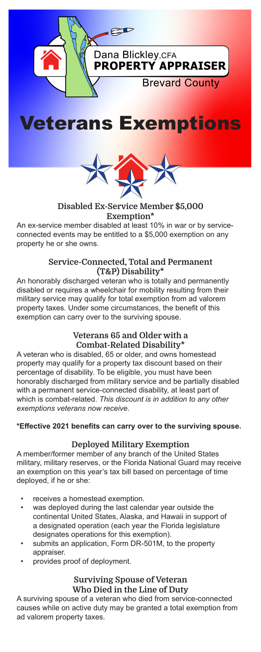





## Disabled Ex-Service Member \$5,000 Exemption\*

An ex-service member disabled at least 10% in war or by serviceconnected events may be entitled to a \$5,000 exemption on any property he or she owns.

#### Service-Connected, Total and Permanent (T&P) Disability\*

An honorably discharged veteran who is totally and permanently disabled or requires a wheelchair for mobility resulting from their military service may qualify for total exemption from ad valorem property taxes. Under some circumstances, the benefit of this exemption can carry over to the surviving spouse.

# Veterans 65 and Older with a Combat-Related Disability\*

A veteran who is disabled, 65 or older, and owns homestead property may qualify for a property tax discount based on their percentage of disability. To be eligible, you must have been honorably discharged from military service and be partially disabled with a permanent service-connected disability, at least part of which is combat-related. *This discount is in addition to any other exemptions veterans now receive.*

### **\*Effective 2021 benefits can carry over to the surviving spouse.**

### Deployed Military Exemption

A member/former member of any branch of the United States military, military reserves, or the Florida National Guard may receive an exemption on this year's tax bill based on percentage of time deployed, if he or she:

- receives a homestead exemption.
- was deployed during the last calendar year outside the continental United States, Alaska, and Hawaii in support of a designated operation (each year the Florida legislature designates operations for this exemption).
- submits an application, Form DR-501M, to the property appraiser.
- provides proof of deployment.

### Surviving Spouse of Veteran Who Died in the Line of Duty

A surviving spouse of a veteran who died from service-connected causes while on active duty may be granted a total exemption from ad valorem property taxes.